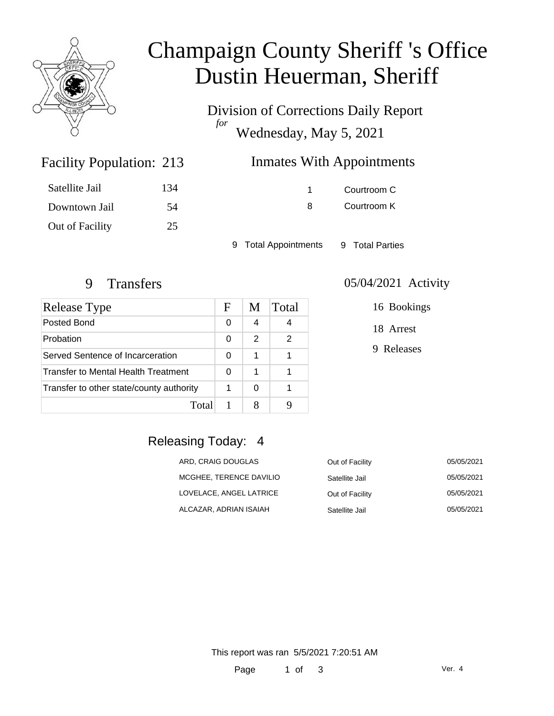

# Champaign County Sheriff 's Office Dustin Heuerman, Sheriff

Division of Corrections Daily Report *for* Wednesday, May 5, 2021

## Inmates With Appointments

| Satellite Jail  | 134 |
|-----------------|-----|
| Downtown Jail   | -54 |
| Out of Facility | 25  |

Facility Population: 213

1 Courtroom C 8 Courtroom K

9 Total Appointments 9 Total Parties

| Release Type                             | F | M | Total |
|------------------------------------------|---|---|-------|
| Posted Bond                              | 0 | 4 |       |
| Probation                                | 0 | 2 | 2     |
| Served Sentence of Incarceration         | 0 | 1 |       |
| Transfer to Mental Health Treatment      |   | 1 |       |
| Transfer to other state/county authority |   | 0 |       |
| Total                                    |   |   |       |

#### 9 Transfers 05/04/2021 Activity

16 Bookings

18 Arrest

9 Releases

### Releasing Today: 4

| ARD, CRAIG DOUGLAS      | Out of Facility | 05/05/2021 |
|-------------------------|-----------------|------------|
| MCGHEE, TERENCE DAVILIO | Satellite Jail  | 05/05/2021 |
| LOVELACE, ANGEL LATRICE | Out of Facility | 05/05/2021 |
| ALCAZAR, ADRIAN ISAIAH  | Satellite Jail  | 05/05/2021 |

This report was ran 5/5/2021 7:20:51 AM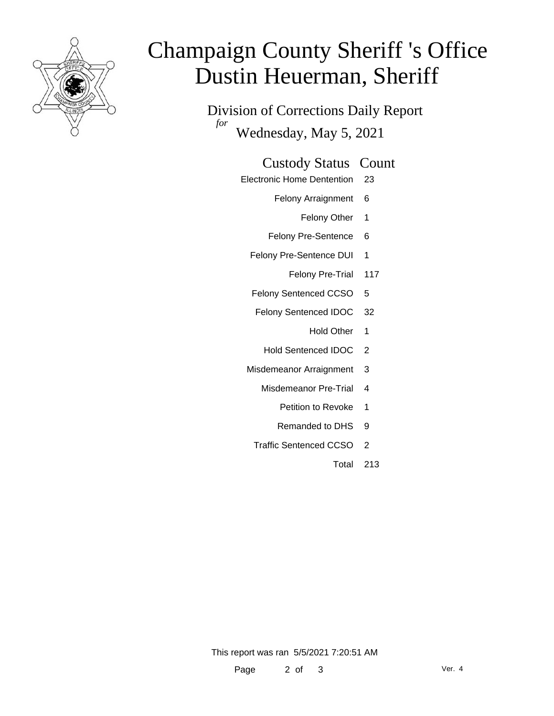

# Champaign County Sheriff 's Office Dustin Heuerman, Sheriff

Division of Corrections Daily Report *for* Wednesday, May 5, 2021

#### Custody Status Count

- Electronic Home Dentention 23
	- Felony Arraignment 6
		- Felony Other 1
	- Felony Pre-Sentence 6
	- Felony Pre-Sentence DUI 1
		- Felony Pre-Trial 117
	- Felony Sentenced CCSO 5
	- Felony Sentenced IDOC 32
		- Hold Other 1
		- Hold Sentenced IDOC 2
	- Misdemeanor Arraignment 3
		- Misdemeanor Pre-Trial 4
			- Petition to Revoke 1
			- Remanded to DHS 9
		- Traffic Sentenced CCSO 2
			- Total 213

This report was ran 5/5/2021 7:20:51 AM